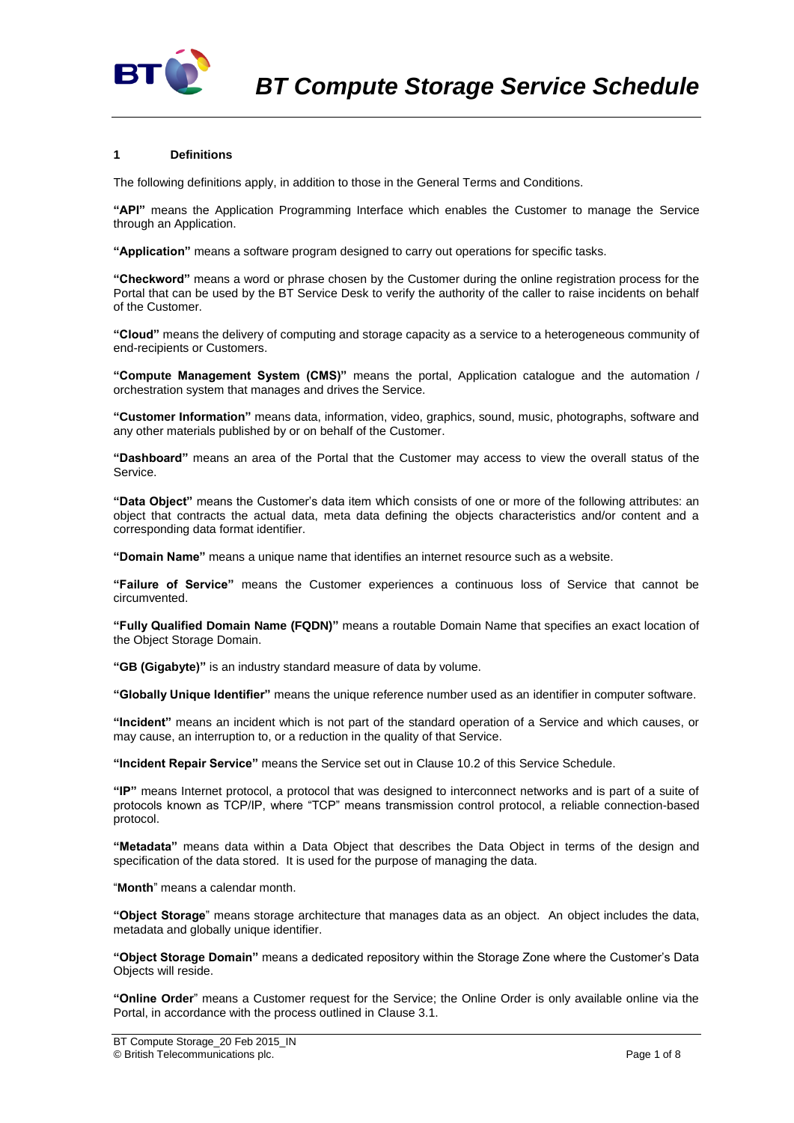

## **1 Definitions**

The following definitions apply, in addition to those in the General Terms and Conditions.

**"API"** means the Application Programming Interface which enables the Customer to manage the Service through an Application.

**"Application"** means a software program designed to carry out operations for specific tasks.

**"Checkword"** means a word or phrase chosen by the Customer during the online registration process for the Portal that can be used by the BT Service Desk to verify the authority of the caller to raise incidents on behalf of the Customer.

**"Cloud"** means the delivery of computing and storage capacity as a service to a heterogeneous community of end-recipients or Customers.

**"Compute Management System (CMS)"** means the portal, Application catalogue and the automation / orchestration system that manages and drives the Service.

**"Customer Information"** means data, information, video, graphics, sound, music, photographs, software and any other materials published by or on behalf of the Customer.

**"Dashboard"** means an area of the Portal that the Customer may access to view the overall status of the Service.

**"Data Object"** means the Customer's data item which consists of one or more of the following attributes: an object that contracts the actual data, meta data defining the objects characteristics and/or content and a corresponding data format identifier.

**"Domain Name"** means a unique name that identifies an internet resource such as a website.

**"Failure of Service"** means the Customer experiences a continuous loss of Service that cannot be circumvented.

**"Fully Qualified Domain Name (FQDN)"** means a routable Domain Name that specifies an exact location of the Object Storage Domain.

**"GB (Gigabyte)"** is an industry standard measure of data by volume.

**"Globally Unique Identifier"** means the unique reference number used as an identifier in computer software.

**"Incident"** means an incident which is not part of the standard operation of a Service and which causes, or may cause, an interruption to, or a reduction in the quality of that Service.

**"Incident Repair Service"** means the Service set out in Clause [10.2](#page-3-0) of this Service Schedule.

**"IP"** means Internet protocol, a protocol that was designed to interconnect networks and is part of a suite of protocols known as TCP/IP, where "TCP" means transmission control protocol, a reliable connection-based protocol.

**"Metadata"** means data within a Data Object that describes the Data Object in terms of the design and specification of the data stored. It is used for the purpose of managing the data.

"**Month**" means a calendar month.

**"Object Storage**" means storage architecture that manages data as an object. An object includes the data, metadata and globally unique identifier.

**"Object Storage Domain"** means a dedicated repository within the Storage Zone where the Customer's Data Objects will reside.

**"Online Order**" means a Customer request for the Service; the Online Order is only available online via the Portal, in accordance with the process outlined in Claus[e 3.1.](#page-1-0)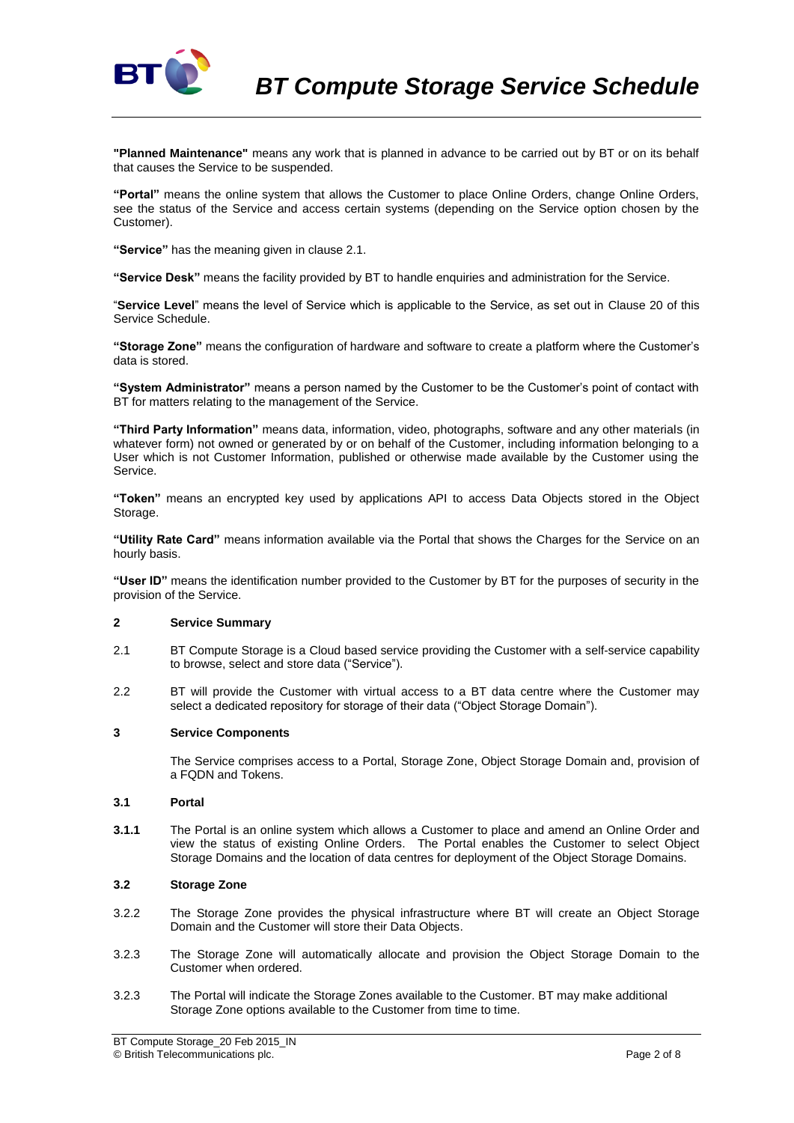

**"Planned Maintenance"** means any work that is planned in advance to be carried out by BT or on its behalf that causes the Service to be suspended.

**"Portal"** means the online system that allows the Customer to place Online Orders, change Online Orders, see the status of the Service and access certain systems (depending on the Service option chosen by the Customer).

**"Service"** has the meaning given in clause 2.1.

**"Service Desk"** means the facility provided by BT to handle enquiries and administration for the Service.

"**Service Level**" means the level of Service which is applicable to the Service, as set out in Clause 20 of this Service Schedule.

**"Storage Zone"** means the configuration of hardware and software to create a platform where the Customer's data is stored.

**"System Administrator"** means a person named by the Customer to be the Customer's point of contact with BT for matters relating to the management of the Service.

**"Third Party Information"** means data, information, video, photographs, software and any other materials (in whatever form) not owned or generated by or on behalf of the Customer, including information belonging to a User which is not Customer Information, published or otherwise made available by the Customer using the Service.

**"Token"** means an encrypted key used by applications API to access Data Objects stored in the Object Storage.

**"Utility Rate Card"** means information available via the Portal that shows the Charges for the Service on an hourly basis.

**"User ID"** means the identification number provided to the Customer by BT for the purposes of security in the provision of the Service.

# **2 Service Summary**

- 2.1 BT Compute Storage is a Cloud based service providing the Customer with a self-service capability to browse, select and store data ("Service").
- 2.2 BT will provide the Customer with virtual access to a BT data centre where the Customer may select a dedicated repository for storage of their data ("Object Storage Domain").

### **3 Service Components**

The Service comprises access to a Portal, Storage Zone, Object Storage Domain and, provision of a FQDN and Tokens.

### <span id="page-1-0"></span>**3.1 Portal**

**3.1.1** The Portal is an online system which allows a Customer to place and amend an Online Order and view the status of existing Online Orders. The Portal enables the Customer to select Object Storage Domains and the location of data centres for deployment of the Object Storage Domains.

# **3.2 Storage Zone**

- 3.2.2 The Storage Zone provides the physical infrastructure where BT will create an Object Storage Domain and the Customer will store their Data Objects.
- 3.2.3 The Storage Zone will automatically allocate and provision the Object Storage Domain to the Customer when ordered.
- 3.2.3 The Portal will indicate the Storage Zones available to the Customer. BT may make additional Storage Zone options available to the Customer from time to time.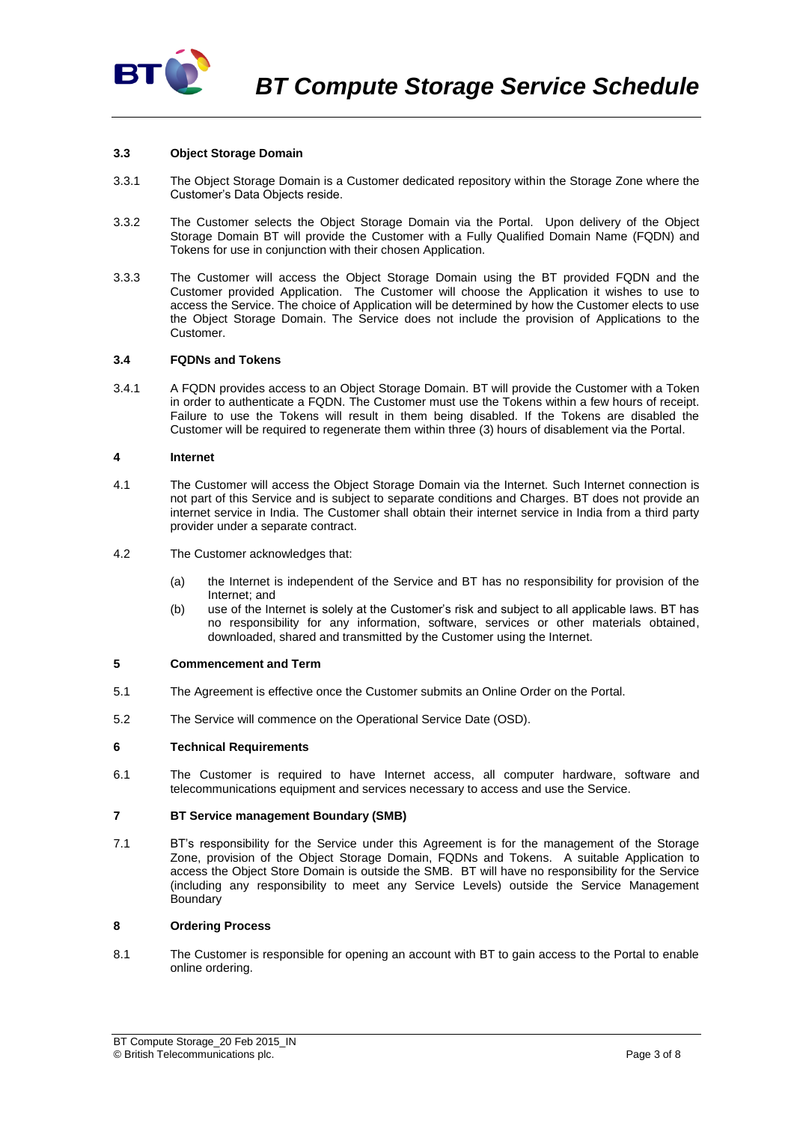

### **3.3 Object Storage Domain**

- 3.3.1 The Object Storage Domain is a Customer dedicated repository within the Storage Zone where the Customer's Data Objects reside.
- 3.3.2 The Customer selects the Object Storage Domain via the Portal. Upon delivery of the Object Storage Domain BT will provide the Customer with a Fully Qualified Domain Name (FQDN) and Tokens for use in conjunction with their chosen Application.
- 3.3.3 The Customer will access the Object Storage Domain using the BT provided FQDN and the Customer provided Application. The Customer will choose the Application it wishes to use to access the Service. The choice of Application will be determined by how the Customer elects to use the Object Storage Domain. The Service does not include the provision of Applications to the Customer.

## **3.4 FQDNs and Tokens**

3.4.1 A FQDN provides access to an Object Storage Domain. BT will provide the Customer with a Token in order to authenticate a FQDN. The Customer must use the Tokens within a few hours of receipt. Failure to use the Tokens will result in them being disabled. If the Tokens are disabled the Customer will be required to regenerate them within three (3) hours of disablement via the Portal.

### **4 Internet**

- 4.1 The Customer will access the Object Storage Domain via the Internet. Such Internet connection is not part of this Service and is subject to separate conditions and Charges. BT does not provide an internet service in India. The Customer shall obtain their internet service in India from a third party provider under a separate contract.
- 4.2 The Customer acknowledges that:
	- (a) the Internet is independent of the Service and BT has no responsibility for provision of the Internet; and
	- (b) use of the Internet is solely at the Customer's risk and subject to all applicable laws. BT has no responsibility for any information, software, services or other materials obtained, downloaded, shared and transmitted by the Customer using the Internet.

### **5 Commencement and Term**

- 5.1 The Agreement is effective once the Customer submits an Online Order on the Portal.
- 5.2 The Service will commence on the Operational Service Date (OSD).

### **6 Technical Requirements**

6.1 The Customer is required to have Internet access, all computer hardware, software and telecommunications equipment and services necessary to access and use the Service.

### **7 BT Service management Boundary (SMB)**

7.1 BT's responsibility for the Service under this Agreement is for the management of the Storage Zone, provision of the Object Storage Domain, FQDNs and Tokens. A suitable Application to access the Object Store Domain is outside the SMB. BT will have no responsibility for the Service (including any responsibility to meet any Service Levels) outside the Service Management **Boundary** 

### **8 Ordering Process**

8.1 The Customer is responsible for opening an account with BT to gain access to the Portal to enable online ordering.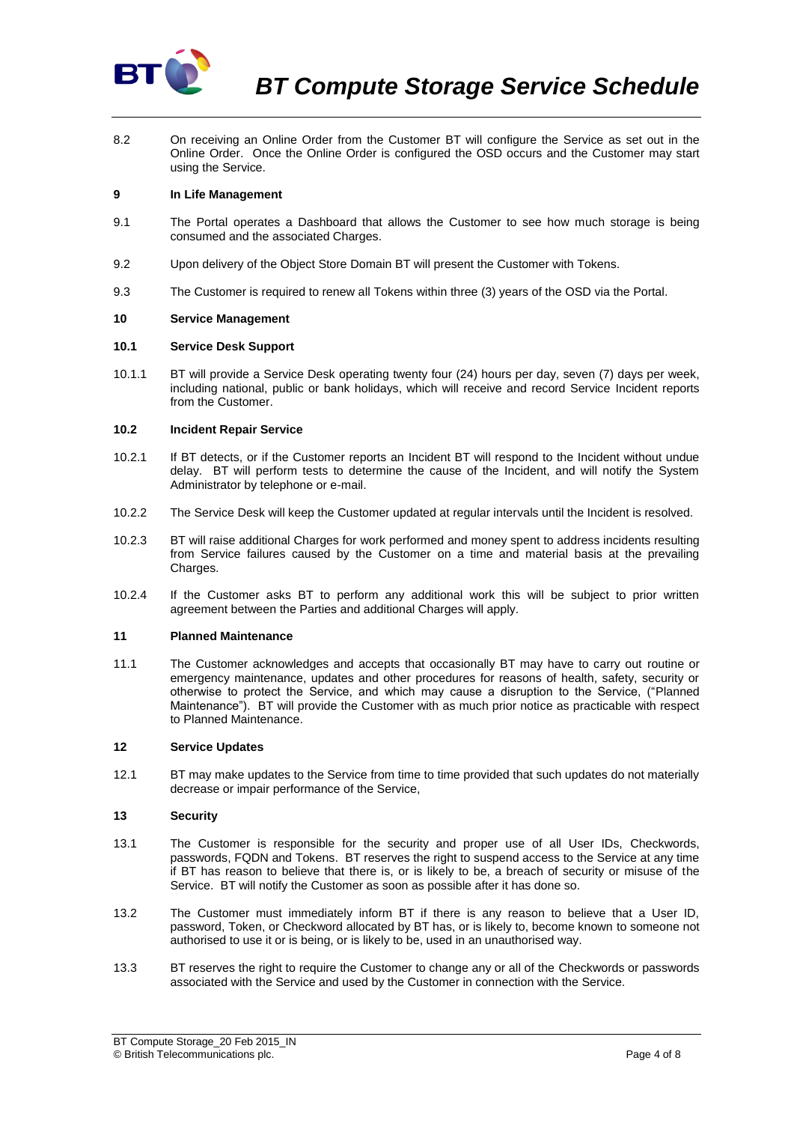

8.2 On receiving an Online Order from the Customer BT will configure the Service as set out in the Online Order. Once the Online Order is configured the OSD occurs and the Customer may start using the Service.

### **9 In Life Management**

- 9.1 The Portal operates a Dashboard that allows the Customer to see how much storage is being consumed and the associated Charges.
- 9.2 Upon delivery of the Object Store Domain BT will present the Customer with Tokens.
- 9.3 The Customer is required to renew all Tokens within three (3) years of the OSD via the Portal.

### **10 Service Management**

### **10.1 Service Desk Support**

10.1.1 BT will provide a Service Desk operating twenty four (24) hours per day, seven (7) days per week, including national, public or bank holidays, which will receive and record Service Incident reports from the Customer.

### <span id="page-3-0"></span>**10.2 Incident Repair Service**

- 10.2.1 If BT detects, or if the Customer reports an Incident BT will respond to the Incident without undue delay. BT will perform tests to determine the cause of the Incident, and will notify the System Administrator by telephone or e-mail.
- 10.2.2 The Service Desk will keep the Customer updated at regular intervals until the Incident is resolved.
- 10.2.3 BT will raise additional Charges for work performed and money spent to address incidents resulting from Service failures caused by the Customer on a time and material basis at the prevailing Charges.
- 10.2.4 If the Customer asks BT to perform any additional work this will be subject to prior written agreement between the Parties and additional Charges will apply.

## **11 Planned Maintenance**

11.1 The Customer acknowledges and accepts that occasionally BT may have to carry out routine or emergency maintenance, updates and other procedures for reasons of health, safety, security or otherwise to protect the Service, and which may cause a disruption to the Service, ("Planned Maintenance"). BT will provide the Customer with as much prior notice as practicable with respect to Planned Maintenance.

# **12 Service Updates**

12.1 BT may make updates to the Service from time to time provided that such updates do not materially decrease or impair performance of the Service,

### **13 Security**

- 13.1 The Customer is responsible for the security and proper use of all User IDs, Checkwords, passwords, FQDN and Tokens. BT reserves the right to suspend access to the Service at any time if BT has reason to believe that there is, or is likely to be, a breach of security or misuse of the Service. BT will notify the Customer as soon as possible after it has done so.
- 13.2 The Customer must immediately inform BT if there is any reason to believe that a User ID, password, Token, or Checkword allocated by BT has, or is likely to, become known to someone not authorised to use it or is being, or is likely to be, used in an unauthorised way.
- 13.3 BT reserves the right to require the Customer to change any or all of the Checkwords or passwords associated with the Service and used by the Customer in connection with the Service.

BT Compute Storage\_20 Feb 2015\_IN © British Telecommunications plc. Page 4 of 8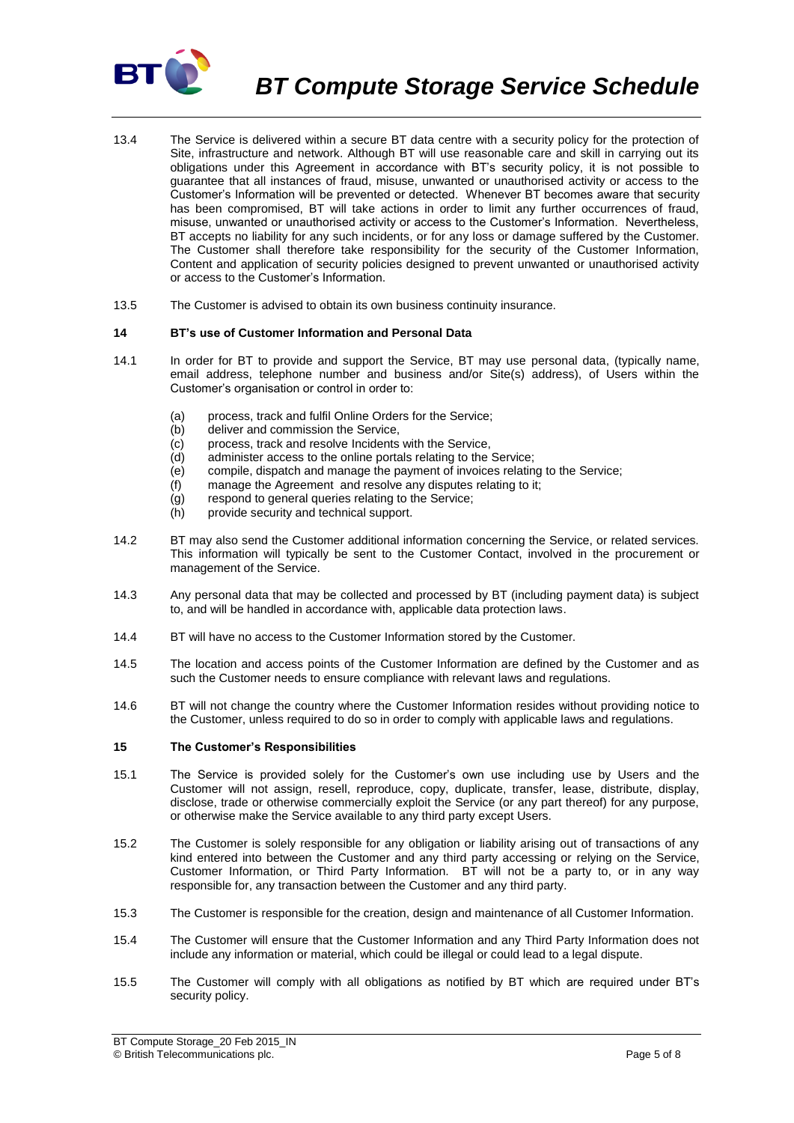

- 13.4 The Service is delivered within a secure BT data centre with a security policy for the protection of Site, infrastructure and network. Although BT will use reasonable care and skill in carrying out its obligations under this Agreement in accordance with BT's security policy, it is not possible to guarantee that all instances of fraud, misuse, unwanted or unauthorised activity or access to the Customer's Information will be prevented or detected. Whenever BT becomes aware that security has been compromised, BT will take actions in order to limit any further occurrences of fraud, misuse, unwanted or unauthorised activity or access to the Customer's Information. Nevertheless, BT accepts no liability for any such incidents, or for any loss or damage suffered by the Customer. The Customer shall therefore take responsibility for the security of the Customer Information, Content and application of security policies designed to prevent unwanted or unauthorised activity or access to the Customer's Information.
- 13.5 The Customer is advised to obtain its own business continuity insurance.

### **14 BT's use of Customer Information and Personal Data**

- 14.1 In order for BT to provide and support the Service, BT may use personal data, (typically name, email address, telephone number and business and/or Site(s) address), of Users within the Customer's organisation or control in order to:
	- (a) process, track and fulfil Online Orders for the Service;
	- (b) deliver and commission the Service,
	- (c) process, track and resolve Incidents with the Service,
	- (d) administer access to the online portals relating to the Service;
	- (e) compile, dispatch and manage the payment of invoices relating to the Service;
	- (f) manage the Agreement and resolve any disputes relating to it;
	- (g) respond to general queries relating to the Service;
	- (h) provide security and technical support.
- 14.2 BT may also send the Customer additional information concerning the Service, or related services. This information will typically be sent to the Customer Contact, involved in the procurement or management of the Service.
- 14.3 Any personal data that may be collected and processed by BT (including payment data) is subject to, and will be handled in accordance with, applicable data protection laws.
- 14.4 BT will have no access to the Customer Information stored by the Customer.
- 14.5 The location and access points of the Customer Information are defined by the Customer and as such the Customer needs to ensure compliance with relevant laws and regulations.
- 14.6 BT will not change the country where the Customer Information resides without providing notice to the Customer, unless required to do so in order to comply with applicable laws and regulations.

#### <span id="page-4-0"></span>**15 The Customer's Responsibilities**

- 15.1 The Service is provided solely for the Customer's own use including use by Users and the Customer will not assign, resell, reproduce, copy, duplicate, transfer, lease, distribute, display, disclose, trade or otherwise commercially exploit the Service (or any part thereof) for any purpose, or otherwise make the Service available to any third party except Users.
- 15.2 The Customer is solely responsible for any obligation or liability arising out of transactions of any kind entered into between the Customer and any third party accessing or relying on the Service, Customer Information, or Third Party Information. BT will not be a party to, or in any way responsible for, any transaction between the Customer and any third party.
- 15.3 The Customer is responsible for the creation, design and maintenance of all Customer Information.
- 15.4 The Customer will ensure that the Customer Information and any Third Party Information does not include any information or material, which could be illegal or could lead to a legal dispute.
- 15.5 The Customer will comply with all obligations as notified by BT which are required under BT's security policy.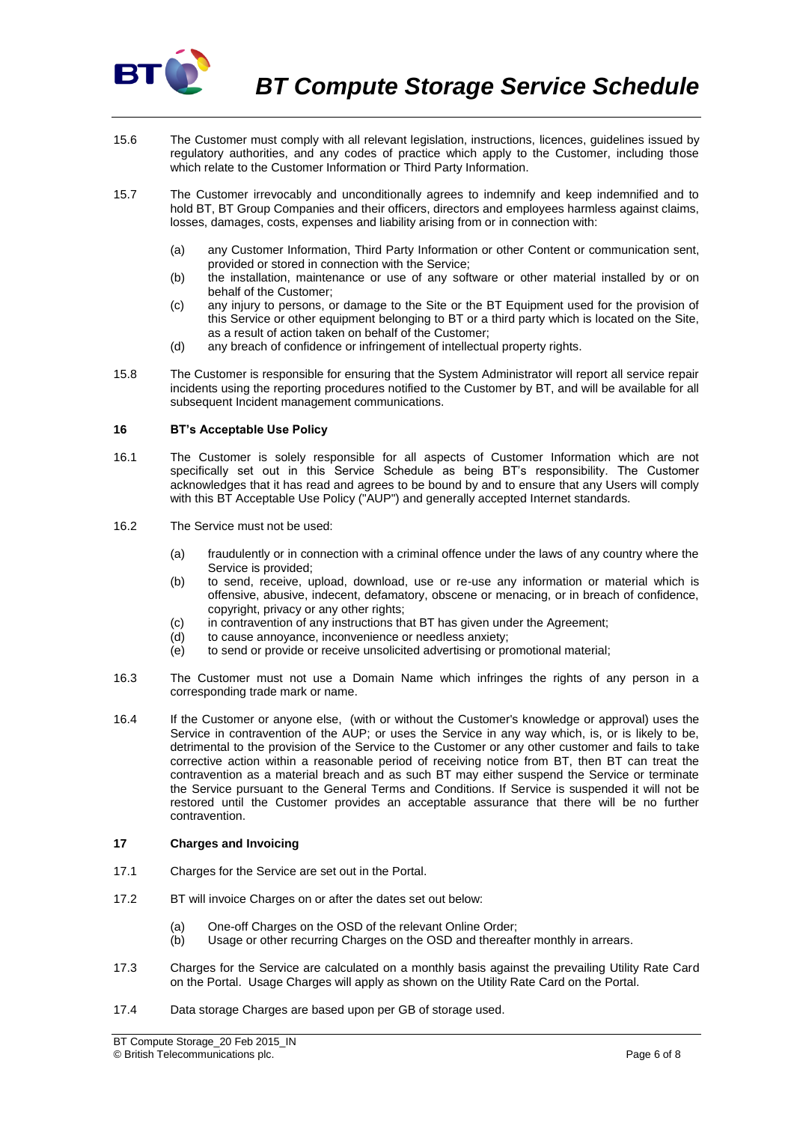

- 15.6 The Customer must comply with all relevant legislation, instructions, licences, guidelines issued by regulatory authorities, and any codes of practice which apply to the Customer, including those which relate to the Customer Information or Third Party Information.
- 15.7 The Customer irrevocably and unconditionally agrees to indemnify and keep indemnified and to hold BT, BT Group Companies and their officers, directors and employees harmless against claims, losses, damages, costs, expenses and liability arising from or in connection with:
	- (a) any Customer Information, Third Party Information or other Content or communication sent, provided or stored in connection with the Service;
	- (b) the installation, maintenance or use of any software or other material installed by or on behalf of the Customer;
	- (c) any injury to persons, or damage to the Site or the BT Equipment used for the provision of this Service or other equipment belonging to BT or a third party which is located on the Site, as a result of action taken on behalf of the Customer;
	- (d) any breach of confidence or infringement of intellectual property rights.
- 15.8 The Customer is responsible for ensuring that the System Administrator will report all service repair incidents using the reporting procedures notified to the Customer by BT, and will be available for all subsequent Incident management communications.

## **16 BT's Acceptable Use Policy**

- 16.1 The Customer is solely responsible for all aspects of Customer Information which are not specifically set out in this Service Schedule as being BT's responsibility. The Customer acknowledges that it has read and agrees to be bound by and to ensure that any Users will comply with this BT Acceptable Use Policy ("AUP") and generally accepted Internet standards.
- 16.2 The Service must not be used:
	- (a) fraudulently or in connection with a criminal offence under the laws of any country where the Service is provided;
	- (b) to send, receive, upload, download, use or re-use any information or material which is offensive, abusive, indecent, defamatory, obscene or menacing, or in breach of confidence, copyright, privacy or any other rights;
	- (c) in contravention of any instructions that BT has given under the Agreement;
	- $(d)$  to cause annoyance, inconvenience or needless anxiety;
	- (e) to send or provide or receive unsolicited advertising or promotional material;
- 16.3 The Customer must not use a Domain Name which infringes the rights of any person in a corresponding trade mark or name.
- 16.4 If the Customer or anyone else, (with or without the Customer's knowledge or approval) uses the Service in contravention of the AUP; or uses the Service in any way which, is, or is likely to be, detrimental to the provision of the Service to the Customer or any other customer and fails to take corrective action within a reasonable period of receiving notice from BT, then BT can treat the contravention as a material breach and as such BT may either suspend the Service or terminate the Service pursuant to the General Terms and Conditions. If Service is suspended it will not be restored until the Customer provides an acceptable assurance that there will be no further contravention.

# **17 Charges and Invoicing**

- 17.1 Charges for the Service are set out in the Portal.
- 17.2 BT will invoice Charges on or after the dates set out below:
	- (a) One-off Charges on the OSD of the relevant Online Order;<br>(b) Usage or other recurring Charges on the OSD and thereaft
	- Usage or other recurring Charges on the OSD and thereafter monthly in arrears.
- 17.3 Charges for the Service are calculated on a monthly basis against the prevailing Utility Rate Card on the Portal. Usage Charges will apply as shown on the Utility Rate Card on the Portal.
- 17.4 Data storage Charges are based upon per GB of storage used.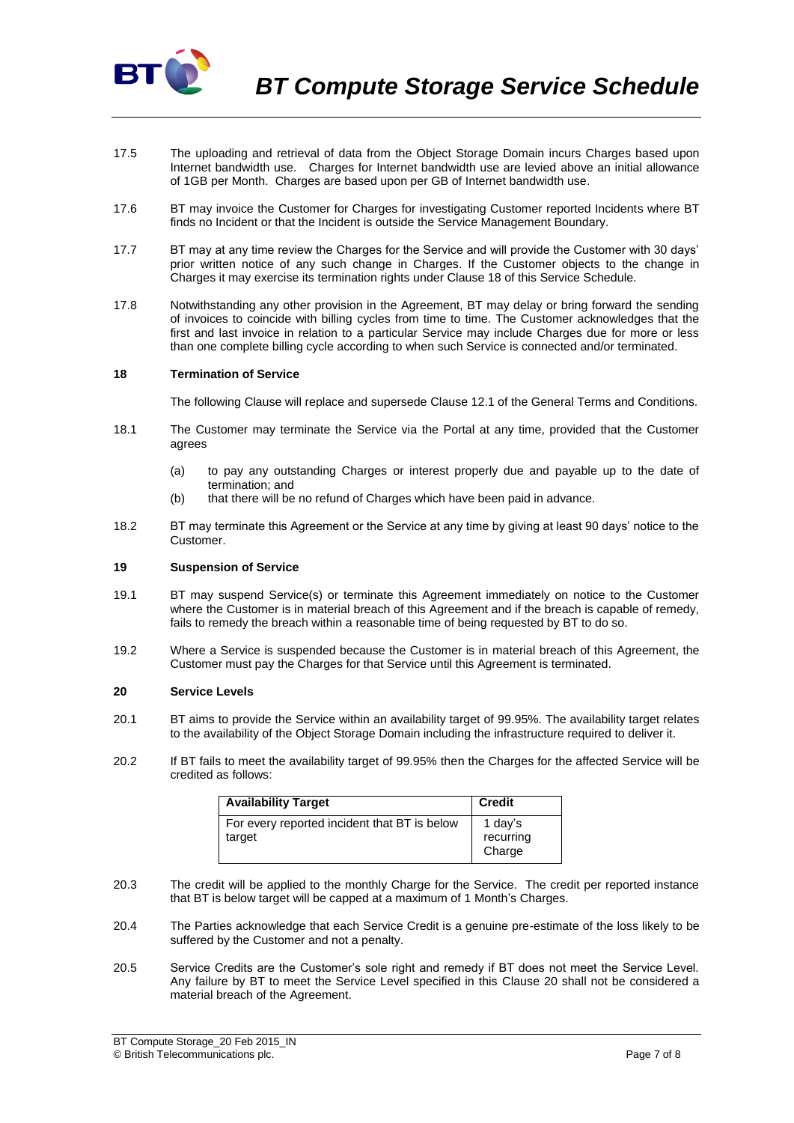

- 17.5 The uploading and retrieval of data from the Object Storage Domain incurs Charges based upon Internet bandwidth use. Charges for Internet bandwidth use are levied above an initial allowance of 1GB per Month. Charges are based upon per GB of Internet bandwidth use.
- 17.6 BT may invoice the Customer for Charges for investigating Customer reported Incidents where BT finds no Incident or that the Incident is outside the Service Management Boundary.
- 17.7 BT may at any time review the Charges for the Service and will provide the Customer with 30 days' prior written notice of any such change in Charges. If the Customer objects to the change in Charges it may exercise its termination rights under Clause 18 of this Service Schedule.
- 17.8 Notwithstanding any other provision in the Agreement, BT may delay or bring forward the sending of invoices to coincide with billing cycles from time to time. The Customer acknowledges that the first and last invoice in relation to a particular Service may include Charges due for more or less than one complete billing cycle according to when such Service is connected and/or terminated.

#### **18 Termination of Service**

The following Clause will replace and supersede Clause 12.1 of the General Terms and Conditions.

- 18.1 The Customer may terminate the Service via the Portal at any time, provided that the Customer agrees
	- (a) to pay any outstanding Charges or interest properly due and payable up to the date of termination; and
	- (b) that there will be no refund of Charges which have been paid in advance.
- 18.2 BT may terminate this Agreement or the Service at any time by giving at least 90 days' notice to the Customer.

#### **19 Suspension of Service**

- 19.1 BT may suspend Service(s) or terminate this Agreement immediately on notice to the Customer where the Customer is in material breach of this Agreement and if the breach is capable of remedy, fails to remedy the breach within a reasonable time of being requested by BT to do so.
- 19.2 Where a Service is suspended because the Customer is in material breach of this Agreement, the Customer must pay the Charges for that Service until this Agreement is terminated.

#### <span id="page-6-0"></span>**20 Service Levels**

- 20.1 BT aims to provide the Service within an availability target of 99.95%. The availability target relates to the availability of the Object Storage Domain including the infrastructure required to deliver it.
- 20.2 If BT fails to meet the availability target of 99.95% then the Charges for the affected Service will be credited as follows:

| <b>Availability Target</b>                             | <b>Credit</b>                  |
|--------------------------------------------------------|--------------------------------|
| For every reported incident that BT is below<br>target | 1 day's<br>recurring<br>Charge |

- 20.3 The credit will be applied to the monthly Charge for the Service. The credit per reported instance that BT is below target will be capped at a maximum of 1 Month's Charges.
- 20.4 The Parties acknowledge that each Service Credit is a genuine pre-estimate of the loss likely to be suffered by the Customer and not a penalty.
- 20.5 Service Credits are the Customer's sole right and remedy if BT does not meet the Service Level. Any failure by BT to meet the Service Level specified in this Clause [20](#page-6-0) shall not be considered a material breach of the Agreement.

BT Compute Storage\_20 Feb 2015\_IN © British Telecommunications plc. Page 7 of 8